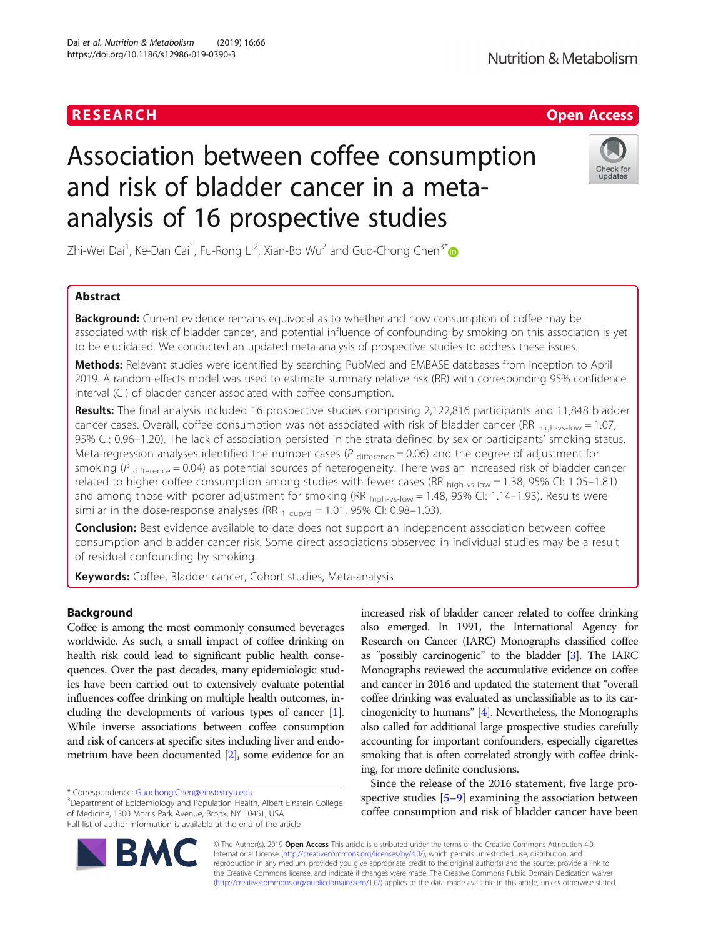# RESEARCH **RESEARCH CHANNEL EXECUTE ACCESS**

# Association between coffee consumption and risk of bladder cancer in a metaanalysis of 16 prospective studies



Zhi-Wei Dai<sup>1</sup>, Ke-Dan Cai<sup>1</sup>, Fu-Rong Li<sup>2</sup>, Xian-Bo Wu<sup>2</sup> and Guo-Chong Chen<sup>3[\\*](http://orcid.org/0000-0003-1853-6244)</sup>

# Abstract

**Background:** Current evidence remains equivocal as to whether and how consumption of coffee may be associated with risk of bladder cancer, and potential influence of confounding by smoking on this association is yet to be elucidated. We conducted an updated meta-analysis of prospective studies to address these issues.

Methods: Relevant studies were identified by searching PubMed and EMBASE databases from inception to April 2019. A random-effects model was used to estimate summary relative risk (RR) with corresponding 95% confidence interval (CI) of bladder cancer associated with coffee consumption.

Results: The final analysis included 16 prospective studies comprising 2,122,816 participants and 11,848 bladder cancer cases. Overall, coffee consumption was not associated with risk of bladder cancer (RR  $_{\text{high-vs-low}} = 1.07$ , 95% CI: 0.96–1.20). The lack of association persisted in the strata defined by sex or participants' smoking status. Meta-regression analyses identified the number cases ( $P$  difference = 0.06) and the degree of adjustment for smoking ( $P$  difference = 0.04) as potential sources of heterogeneity. There was an increased risk of bladder cancer related to higher coffee consumption among studies with fewer cases (RR  $_{\text{high-ys-low}}$  = 1.38, 95% CI: 1.05–1.81) and among those with poorer adjustment for smoking (RR  $_{\text{high-vs-low}}$  = 1.48, 95% CI: 1.14–1.93). Results were similar in the dose-response analyses (RR  $_1$  cup/d = 1.01, 95% CI: 0.98–1.03).

**Conclusion:** Best evidence available to date does not support an independent association between coffee consumption and bladder cancer risk. Some direct associations observed in individual studies may be a result of residual confounding by smoking.

Keywords: Coffee, Bladder cancer, Cohort studies, Meta-analysis

# Background

Coffee is among the most commonly consumed beverages worldwide. As such, a small impact of coffee drinking on health risk could lead to significant public health consequences. Over the past decades, many epidemiologic studies have been carried out to extensively evaluate potential influences coffee drinking on multiple health outcomes, including the developments of various types of cancer [[1](#page-10-0)]. While inverse associations between coffee consumption and risk of cancers at specific sites including liver and endometrium have been documented [\[2](#page-10-0)], some evidence for an

<sup>3</sup>Department of Epidemiology and Population Health, Albert Einstein College of Medicine, 1300 Morris Park Avenue, Bronx, NY 10461, USA Full list of author information is available at the end of the article

increased risk of bladder cancer related to coffee drinking also emerged. In 1991, the International Agency for Research on Cancer (IARC) Monographs classified coffee as "possibly carcinogenic" to the bladder [\[3\]](#page-10-0). The IARC Monographs reviewed the accumulative evidence on coffee and cancer in 2016 and updated the statement that "overall coffee drinking was evaluated as unclassifiable as to its carcinogenicity to humans" [\[4\]](#page-10-0). Nevertheless, the Monographs also called for additional large prospective studies carefully accounting for important confounders, especially cigarettes smoking that is often correlated strongly with coffee drinking, for more definite conclusions.

Since the release of the 2016 statement, five large prospective studies [\[5](#page-10-0)–[9](#page-10-0)] examining the association between coffee consumption and risk of bladder cancer have been



© The Author(s). 2019 Open Access This article is distributed under the terms of the Creative Commons Attribution 4.0 International License [\(http://creativecommons.org/licenses/by/4.0/](http://creativecommons.org/licenses/by/4.0/)), which permits unrestricted use, distribution, and reproduction in any medium, provided you give appropriate credit to the original author(s) and the source, provide a link to the Creative Commons license, and indicate if changes were made. The Creative Commons Public Domain Dedication waiver [\(http://creativecommons.org/publicdomain/zero/1.0/](http://creativecommons.org/publicdomain/zero/1.0/)) applies to the data made available in this article, unless otherwise stated.

<sup>\*</sup> Correspondence: [Guochong.Chen@einstein.yu.edu](mailto:Guochong.Chen@einstein.yu.edu) <sup>3</sup>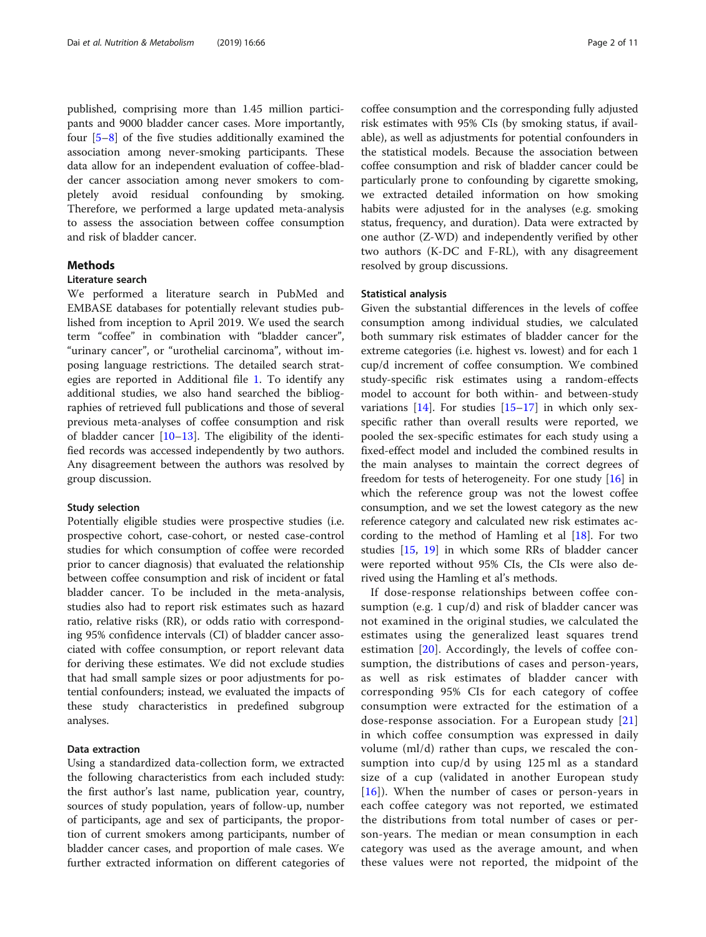published, comprising more than 1.45 million participants and 9000 bladder cancer cases. More importantly, four [[5](#page-10-0)–[8\]](#page-10-0) of the five studies additionally examined the association among never-smoking participants. These data allow for an independent evaluation of coffee-bladder cancer association among never smokers to completely avoid residual confounding by smoking. Therefore, we performed a large updated meta-analysis to assess the association between coffee consumption and risk of bladder cancer.

#### Methods

#### Literature search

We performed a literature search in PubMed and EMBASE databases for potentially relevant studies published from inception to April 2019. We used the search term "coffee" in combination with "bladder cancer", "urinary cancer", or "urothelial carcinoma", without imposing language restrictions. The detailed search strategies are reported in Additional file [1.](#page-9-0) To identify any additional studies, we also hand searched the bibliographies of retrieved full publications and those of several previous meta-analyses of coffee consumption and risk of bladder cancer  $[10-13]$  $[10-13]$  $[10-13]$  $[10-13]$  $[10-13]$ . The eligibility of the identified records was accessed independently by two authors. Any disagreement between the authors was resolved by group discussion.

#### Study selection

Potentially eligible studies were prospective studies (i.e. prospective cohort, case-cohort, or nested case-control studies for which consumption of coffee were recorded prior to cancer diagnosis) that evaluated the relationship between coffee consumption and risk of incident or fatal bladder cancer. To be included in the meta-analysis, studies also had to report risk estimates such as hazard ratio, relative risks (RR), or odds ratio with corresponding 95% confidence intervals (CI) of bladder cancer associated with coffee consumption, or report relevant data for deriving these estimates. We did not exclude studies that had small sample sizes or poor adjustments for potential confounders; instead, we evaluated the impacts of these study characteristics in predefined subgroup analyses.

### Data extraction

Using a standardized data-collection form, we extracted the following characteristics from each included study: the first author's last name, publication year, country, sources of study population, years of follow-up, number of participants, age and sex of participants, the proportion of current smokers among participants, number of bladder cancer cases, and proportion of male cases. We further extracted information on different categories of coffee consumption and the corresponding fully adjusted risk estimates with 95% CIs (by smoking status, if available), as well as adjustments for potential confounders in the statistical models. Because the association between coffee consumption and risk of bladder cancer could be particularly prone to confounding by cigarette smoking, we extracted detailed information on how smoking habits were adjusted for in the analyses (e.g. smoking status, frequency, and duration). Data were extracted by one author (Z-WD) and independently verified by other two authors (K-DC and F-RL), with any disagreement resolved by group discussions.

#### Statistical analysis

Given the substantial differences in the levels of coffee consumption among individual studies, we calculated both summary risk estimates of bladder cancer for the extreme categories (i.e. highest vs. lowest) and for each 1 cup/d increment of coffee consumption. We combined study-specific risk estimates using a random-effects model to account for both within- and between-study variations  $[14]$  $[14]$ . For studies  $[15–17]$  $[15–17]$  $[15–17]$  $[15–17]$  $[15–17]$  in which only sexspecific rather than overall results were reported, we pooled the sex-specific estimates for each study using a fixed-effect model and included the combined results in the main analyses to maintain the correct degrees of freedom for tests of heterogeneity. For one study [\[16](#page-10-0)] in which the reference group was not the lowest coffee consumption, and we set the lowest category as the new reference category and calculated new risk estimates according to the method of Hamling et al  $[18]$  $[18]$ . For two studies [[15,](#page-10-0) [19](#page-10-0)] in which some RRs of bladder cancer were reported without 95% CIs, the CIs were also derived using the Hamling et al's methods.

If dose-response relationships between coffee consumption (e.g. 1 cup/d) and risk of bladder cancer was not examined in the original studies, we calculated the estimates using the generalized least squares trend estimation [[20\]](#page-10-0). Accordingly, the levels of coffee consumption, the distributions of cases and person-years, as well as risk estimates of bladder cancer with corresponding 95% CIs for each category of coffee consumption were extracted for the estimation of a dose-response association. For a European study [\[21](#page-10-0)] in which coffee consumption was expressed in daily volume (ml/d) rather than cups, we rescaled the consumption into cup/d by using 125 ml as a standard size of a cup (validated in another European study [[16](#page-10-0)]). When the number of cases or person-years in each coffee category was not reported, we estimated the distributions from total number of cases or person-years. The median or mean consumption in each category was used as the average amount, and when these values were not reported, the midpoint of the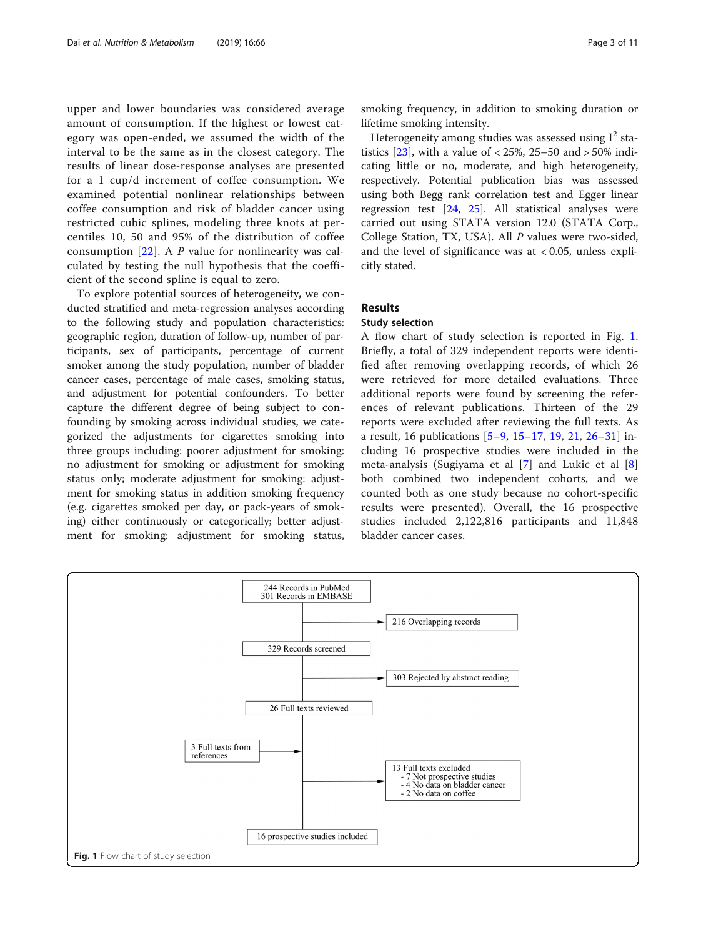upper and lower boundaries was considered average amount of consumption. If the highest or lowest category was open-ended, we assumed the width of the interval to be the same as in the closest category. The results of linear dose-response analyses are presented for a 1 cup/d increment of coffee consumption. We examined potential nonlinear relationships between coffee consumption and risk of bladder cancer using restricted cubic splines, modeling three knots at percentiles 10, 50 and 95% of the distribution of coffee consumption  $[22]$ . A P value for nonlinearity was calculated by testing the null hypothesis that the coefficient of the second spline is equal to zero.

To explore potential sources of heterogeneity, we conducted stratified and meta-regression analyses according to the following study and population characteristics: geographic region, duration of follow-up, number of participants, sex of participants, percentage of current smoker among the study population, number of bladder cancer cases, percentage of male cases, smoking status, and adjustment for potential confounders. To better capture the different degree of being subject to confounding by smoking across individual studies, we categorized the adjustments for cigarettes smoking into three groups including: poorer adjustment for smoking: no adjustment for smoking or adjustment for smoking status only; moderate adjustment for smoking: adjustment for smoking status in addition smoking frequency (e.g. cigarettes smoked per day, or pack-years of smoking) either continuously or categorically; better adjustment for smoking: adjustment for smoking status, smoking frequency, in addition to smoking duration or lifetime smoking intensity.

Heterogeneity among studies was assessed using  $I^2$  statistics  $[23]$  $[23]$ , with a value of < 25%, 25–50 and > 50% indicating little or no, moderate, and high heterogeneity, respectively. Potential publication bias was assessed using both Begg rank correlation test and Egger linear regression test [[24,](#page-10-0) [25](#page-10-0)]. All statistical analyses were carried out using STATA version 12.0 (STATA Corp., College Station, TX, USA). All P values were two-sided, and the level of significance was at  $< 0.05$ , unless explicitly stated.

## Results

# Study selection

A flow chart of study selection is reported in Fig. 1. Briefly, a total of 329 independent reports were identified after removing overlapping records, of which 26 were retrieved for more detailed evaluations. Three additional reports were found by screening the references of relevant publications. Thirteen of the 29 reports were excluded after reviewing the full texts. As a result, 16 publications [\[5](#page-10-0)–[9](#page-10-0), [15](#page-10-0)–[17,](#page-10-0) [19,](#page-10-0) [21](#page-10-0), [26](#page-10-0)–[31](#page-10-0)] including 16 prospective studies were included in the meta-analysis (Sugiyama et al [\[7](#page-10-0)] and Lukic et al [\[8](#page-10-0)] both combined two independent cohorts, and we counted both as one study because no cohort-specific results were presented). Overall, the 16 prospective studies included 2,122,816 participants and 11,848 bladder cancer cases.

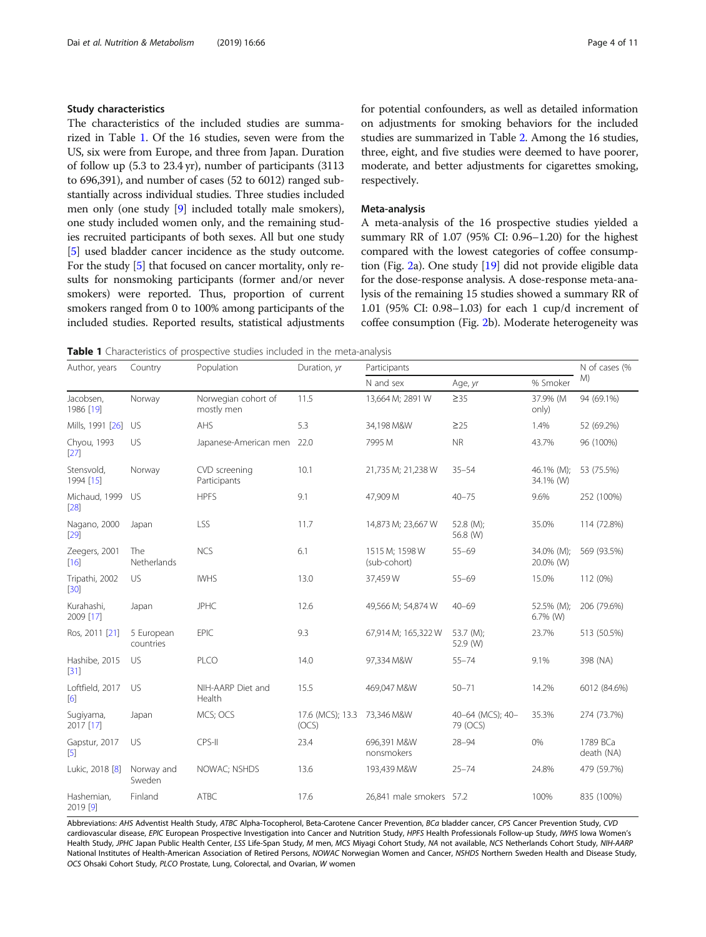### Study characteristics

The characteristics of the included studies are summarized in Table 1. Of the 16 studies, seven were from the US, six were from Europe, and three from Japan. Duration of follow up (5.3 to 23.4 yr), number of participants (3113 to 696,391), and number of cases (52 to 6012) ranged substantially across individual studies. Three studies included men only (one study [[9\]](#page-10-0) included totally male smokers), one study included women only, and the remaining studies recruited participants of both sexes. All but one study [[5\]](#page-10-0) used bladder cancer incidence as the study outcome. For the study [\[5\]](#page-10-0) that focused on cancer mortality, only results for nonsmoking participants (former and/or never smokers) were reported. Thus, proportion of current smokers ranged from 0 to 100% among participants of the included studies. Reported results, statistical adjustments for potential confounders, as well as detailed information on adjustments for smoking behaviors for the included studies are summarized in Table [2](#page-4-0). Among the 16 studies, three, eight, and five studies were deemed to have poorer, moderate, and better adjustments for cigarettes smoking, respectively.

#### Meta-analysis

A meta-analysis of the 16 prospective studies yielded a summary RR of 1.07 (95% CI: 0.96–1.20) for the highest compared with the lowest categories of coffee consumption (Fig. [2a](#page-6-0)). One study [\[19\]](#page-10-0) did not provide eligible data for the dose-response analysis. A dose-response meta-analysis of the remaining 15 studies showed a summary RR of 1.01 (95% CI: 0.98–1.03) for each 1 cup/d increment of coffee consumption (Fig. [2b](#page-6-0)). Moderate heterogeneity was

**Table 1** Characteristics of prospective studies included in the meta-analysis

| Author, years               | Country                 | Population<br>Duration, yr<br>Participants |                           |                                | N of cases (%                |                         |                        |
|-----------------------------|-------------------------|--------------------------------------------|---------------------------|--------------------------------|------------------------------|-------------------------|------------------------|
|                             |                         |                                            |                           | N and sex                      | Age, yr                      | % Smoker                | M)                     |
| Jacobsen,<br>1986 [19]      | Norway                  | Norwegian cohort of<br>mostly men          | 11.5                      | 13,664 M; 2891 W               | $\geq$ 35                    | 37.9% (M<br>only)       | 94 (69.1%)             |
| Mills, 1991 [26]            | US                      | AHS                                        | 5.3                       | 34,198 M&W                     | $\geq 25$                    | 1.4%                    | 52 (69.2%)             |
| Chyou, 1993<br>[27]         | US                      | Japanese-American men                      | 22.0                      | 7995 M                         | <b>NR</b>                    | 43.7%                   | 96 (100%)              |
| Stensvold,<br>1994 [15]     | Norway                  | CVD screening<br>Participants              | 10.1                      | 21,735 M; 21,238 W             | $35 - 54$                    | 46.1% (M);<br>34.1% (W) | 53 (75.5%)             |
| Michaud, 1999<br>$[28]$     | US                      | <b>HPFS</b>                                | 9.1                       | 47,909 M                       | $40 - 75$                    | 9.6%                    | 252 (100%)             |
| Nagano, 2000<br>[29]        | Japan                   | LSS                                        | 11.7                      | 14,873 M; 23,667 W             | 52.8 (M);<br>56.8 (W)        | 35.0%                   | 114 (72.8%)            |
| Zeegers, 2001<br>$[16]$     | The<br>Netherlands      | <b>NCS</b>                                 | 6.1                       | 1515 M; 1598 W<br>(sub-cohort) | $55 - 69$                    | 34.0% (M);<br>20.0% (W) | 569 (93.5%)            |
| Tripathi, 2002<br>[30]      | <b>US</b>               | <b>IWHS</b>                                | 13.0                      | 37,459 W                       | $55 - 69$                    | 15.0%                   | 112 (0%)               |
| Kurahashi,<br>2009 [17]     | Japan                   | <b>JPHC</b>                                | 12.6                      | 49,566 M; 54,874 W             | $40 - 69$                    | 52.5% (M);<br>6.7% (W)  | 206 (79.6%)            |
| Ros, 2011 [21]              | 5 European<br>countries | <b>EPIC</b>                                | 9.3                       | 67,914 M; 165,322 W            | 53.7 (M);<br>52.9 (W)        | 23.7%                   | 513 (50.5%)            |
| Hashibe, 2015<br>$[31]$     | US                      | PLCO                                       | 14.0                      | 97,334 M&W                     | $55 - 74$                    | 9.1%                    | 398 (NA)               |
| Loftfield, 2017<br>[6]      | US                      | NIH-AARP Diet and<br>Health                | 15.5                      | 469,047 M&W                    | $50 - 71$                    | 14.2%                   | 6012 (84.6%)           |
| Sugiyama,<br>2017 [17]      | Japan                   | MCS; OCS                                   | 17.6 (MCS); 13.3<br>(OCS) | 73,346 M&W                     | 40-64 (MCS); 40-<br>79 (OCS) | 35.3%                   | 274 (73.7%)            |
| Gapstur, 2017<br>$\sqrt{5}$ | US                      | CPS-II                                     | 23.4                      | 696,391 M&W<br>nonsmokers      | $28 - 94$                    | 0%                      | 1789 BCa<br>death (NA) |
| Lukic, 2018 [8]             | Norway and<br>Sweden    | NOWAC; NSHDS                               | 13.6                      | 193,439 M&W                    | $25 - 74$                    | 24.8%                   | 479 (59.7%)            |
| Hashemian,<br>2019 [9]      | Finland                 | ATBC                                       | 17.6                      | 26,841 male smokers 57.2       |                              | 100%                    | 835 (100%)             |

Abbreviations: AHS Adventist Health Study, ATBC Alpha-Tocopherol, Beta-Carotene Cancer Prevention, BCa bladder cancer, CPS Cancer Prevention Study, CVD cardiovascular disease, EPIC European Prospective Investigation into Cancer and Nutrition Study, HPFS Health Professionals Follow-up Study, IWHS Iowa Women'<sup>s</sup> Health Study, JPHC Japan Public Health Center, LSS Life-Span Study, M men, MCS Miyagi Cohort Study, NA not available, NCS Netherlands Cohort Study, NIH-AARP National Institutes of Health-American Association of Retired Persons, NOWAC Norwegian Women and Cancer, NSHDS Northern Sweden Health and Disease Study, OCS Ohsaki Cohort Study, PLCO Prostate, Lung, Colorectal, and Ovarian, W women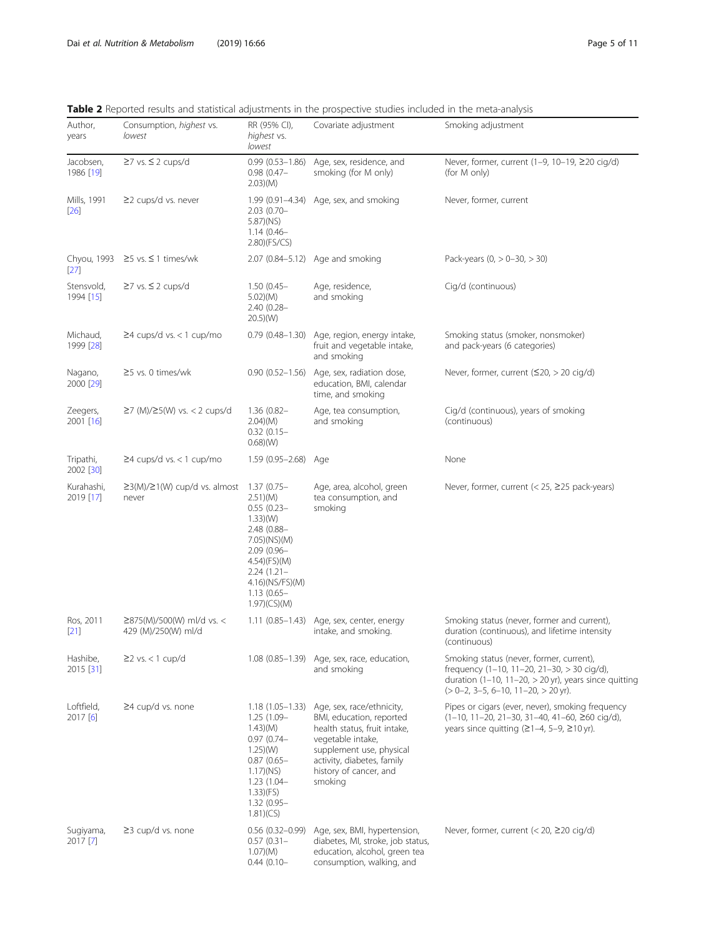<span id="page-4-0"></span>Table 2 Reported results and statistical adjustments in the prospective studies included in the meta-analysis

| Author,<br>years        | Consumption, highest vs.<br>lowest                 | RR (95% CI),<br>highest vs.<br>lowest                                                                                                                                                                  | Covariate adjustment                                                                                                                                                                                      | Smoking adjustment                                                                                                                                                                          |
|-------------------------|----------------------------------------------------|--------------------------------------------------------------------------------------------------------------------------------------------------------------------------------------------------------|-----------------------------------------------------------------------------------------------------------------------------------------------------------------------------------------------------------|---------------------------------------------------------------------------------------------------------------------------------------------------------------------------------------------|
| Jacobsen,<br>1986 [19]  | $\geq$ 7 vs. $\leq$ 2 cups/d                       | $0.99(0.53 - 1.86)$<br>$0.98(0.47 -$<br>2.03)(M)                                                                                                                                                       | Age, sex, residence, and<br>smoking (for M only)                                                                                                                                                          | Never, former, current (1-9, 10-19, ≥20 cig/d)<br>(for M only)                                                                                                                              |
| Mills, 1991<br>$[26]$   | ≥2 cups/d vs. never                                | $1.99(0.91 - 4.34)$<br>$2.03(0.70 -$<br>$5.87$ $(NS)$<br>$1.14(0.46 -$<br>2.80)(FS/CS)                                                                                                                 | Age, sex, and smoking                                                                                                                                                                                     | Never, former, current                                                                                                                                                                      |
| Chyou, 1993<br>$[27]$   | $≥5$ vs. $≤ 1$ times/wk                            |                                                                                                                                                                                                        | 2.07 (0.84-5.12) Age and smoking                                                                                                                                                                          | Pack-years $(0, > 0-30, > 30)$                                                                                                                                                              |
| Stensvold,<br>1994 [15] | $\geq$ 7 vs. $\leq$ 2 cups/d                       | $1.50(0.45 -$<br>5.02)(M)<br>2.40 (0.28-<br>20.5)(W)                                                                                                                                                   | Age, residence,<br>and smoking                                                                                                                                                                            | Cig/d (continuous)                                                                                                                                                                          |
| Michaud,<br>1999 [28]   | $\geq$ 4 cups/d vs. < 1 cup/mo                     | $0.79(0.48 - 1.30)$                                                                                                                                                                                    | Age, region, energy intake,<br>fruit and vegetable intake,<br>and smoking                                                                                                                                 | Smoking status (smoker, nonsmoker)<br>and pack-years (6 categories)                                                                                                                         |
| Nagano,<br>2000 [29]    | $\geq$ 5 vs. 0 times/wk                            | $0.90(0.52 - 1.56)$                                                                                                                                                                                    | Age, sex, radiation dose,<br>education, BMI, calendar<br>time, and smoking                                                                                                                                | Never, former, current $(≤20, >20$ cig/d)                                                                                                                                                   |
| Zeegers,<br>2001 [16]   | $≥7$ (M)/ $≥5$ (W) vs. < 2 cups/d                  | $1.36(0.82 -$<br>2.04)(M)<br>$0.32(0.15 -$<br>$0.68)$ (W)                                                                                                                                              | Age, tea consumption,<br>and smoking                                                                                                                                                                      | Cig/d (continuous), years of smoking<br>(continuous)                                                                                                                                        |
| Tripathi,<br>2002 [30]  | $\geq$ 4 cups/d vs. < 1 cup/mo                     | $1.59(0.95 - 2.68)$                                                                                                                                                                                    | Age                                                                                                                                                                                                       | None                                                                                                                                                                                        |
| Kurahashi,<br>2019 [17] | $\geq$ 3(M)/ $\geq$ 1(W) cup/d vs. almost<br>never | $1.37(0.75 -$<br>2.51)(M)<br>$0.55(0.23 -$<br>1.33)(W)<br>$2.48(0.88 -$<br>7.05)(NS)(M)<br>$2.09(0.96 -$<br>$4.54$ )(FS)(M)<br>$2.24(1.21 -$<br>$4.16$ )(NS/FS)(M)<br>$1.13(0.65 -$<br>$1.97$ )(CS)(M) | Age, area, alcohol, green<br>tea consumption, and<br>smoking                                                                                                                                              | Never, former, current (< 25, ≥25 pack-years)                                                                                                                                               |
| Ros, 2011<br>$[21]$     | ≥875(M)/500(W) ml/d vs. <<br>429 (M)/250(W) ml/d   | $1.11(0.85 - 1.43)$                                                                                                                                                                                    | Age, sex, center, energy<br>intake, and smoking.                                                                                                                                                          | Smoking status (never, former and current),<br>duration (continuous), and lifetime intensity<br>(continuous)                                                                                |
| Hashibe,<br>2015 [31]   | $\geq$ 2 vs. < 1 cup/d                             |                                                                                                                                                                                                        | $1.08$ (0.85–1.39) Age, sex, race, education,<br>and smoking                                                                                                                                              | Smoking status (never, former, current),<br>frequency (1-10, 11-20, 21-30, > 30 cig/d),<br>duration (1-10, 11-20, $>$ 20 yr), years since quitting<br>$(> 0-2, 3-5, 6-10, 11-20, > 20$ yr). |
| Loftfield,<br>2017 [6]  | $\geq$ 4 cup/d vs. none                            | $1.18(1.05 - 1.33)$<br>$1.25(1.09 -$<br>1.43)(M)<br>$0.97(0.74 -$<br>1.25)(W)<br>$0.87(0.65 -$<br>1.17)(NS)<br>$1.23(1.04 -$<br>$1.33$ )(FS)<br>$1.32(0.95 -$<br>1.81)(CS)                             | Age, sex, race/ethnicity,<br>BMI, education, reported<br>health status, fruit intake,<br>vegetable intake,<br>supplement use, physical<br>activity, diabetes, family<br>history of cancer, and<br>smoking | Pipes or cigars (ever, never), smoking frequency<br>(1-10, 11-20, 21-30, 31-40, 41-60, ≥60 cig/d),<br>years since quitting $(≥1-4, 5-9, ≥10$ yr).                                           |
| Sugiyama,<br>2017 [7]   | $\geq$ 3 cup/d vs. none                            | $0.56$ $(0.32 - 0.99)$<br>$0.57(0.31 -$<br>1.07)(M)<br>$0.44(0.10 -$                                                                                                                                   | Age, sex, BMI, hypertension,<br>diabetes, MI, stroke, job status,<br>education, alcohol, green tea<br>consumption, walking, and                                                                           | Never, former, current $(< 20, \geq 20$ cig/d)                                                                                                                                              |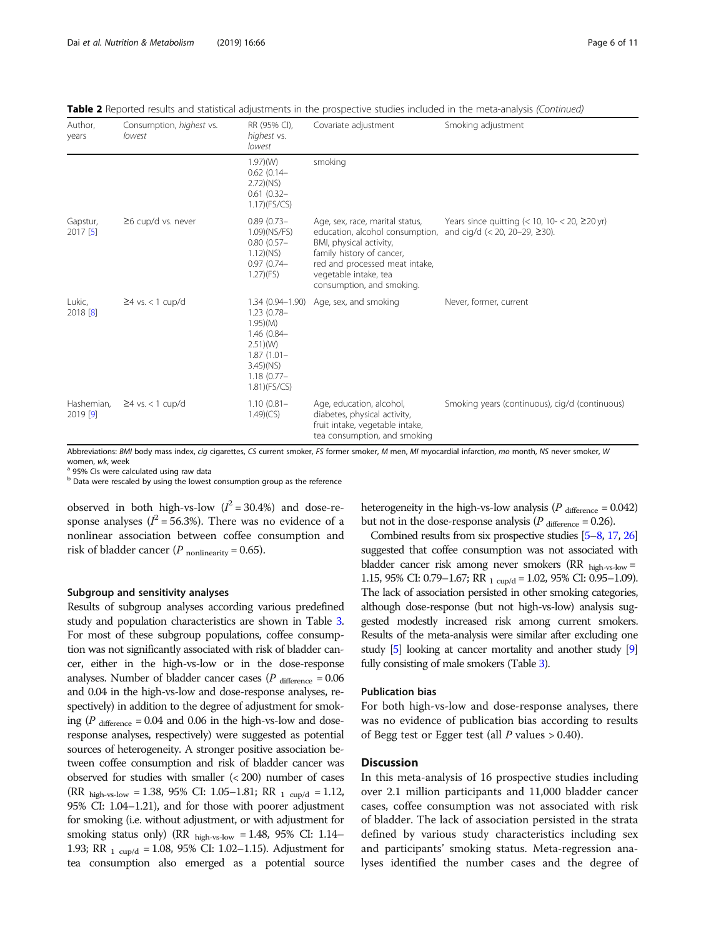| Author,<br>years       | Consumption, highest vs.<br>lowest | RR (95% CI),<br>highest vs.<br>lowest                                                                                                      | Covariate adjustment                                                                                                                                                                                                                                   | Smoking adjustment                                   |
|------------------------|------------------------------------|--------------------------------------------------------------------------------------------------------------------------------------------|--------------------------------------------------------------------------------------------------------------------------------------------------------------------------------------------------------------------------------------------------------|------------------------------------------------------|
|                        |                                    | 1.97)(W)<br>$0.62(0.14 -$<br>2.72)(NS)<br>$0.61(0.32 -$<br>$1.17$ )(FS/CS)                                                                 | smoking                                                                                                                                                                                                                                                |                                                      |
| Gapstur,<br>2017 [5]   | $\geq$ 6 cup/d vs. never           | $0.89(0.73 -$<br>1.09)(NS/FS)<br>$0.80(0.57 -$<br>1.12)(NS)<br>$0.97(0.74 -$<br>$1.27$ )(FS)                                               | Age, sex, race, marital status,<br>education, alcohol consumption, and cig/d (< 20, 20-29, $\geq$ 30).<br>BMI, physical activity,<br>family history of cancer,<br>red and processed meat intake,<br>vegetable intake, tea<br>consumption, and smoking. | Years since quitting $(< 10, 10 - < 20, \geq 20$ yr) |
| Lukic,<br>2018 [8]     | $\geq$ 4 vs. < 1 cup/d             | 1.34 (0.94–1.90)<br>$1.23(0.78 -$<br>1.95)(M)<br>1.46 (0.84-<br>2.51)(W)<br>$1.87(1.01 -$<br>3.45)(NS)<br>$1.18(0.77 -$<br>$1.81$ )(FS/CS) | Age, sex, and smoking                                                                                                                                                                                                                                  | Never, former, current                               |
| Hashemian.<br>2019 [9] | $\geq$ 4 vs. < 1 cup/d             | $1.10(0.81 -$<br>$1.49$ )(CS)                                                                                                              | Age, education, alcohol,<br>diabetes, physical activity,<br>fruit intake, vegetable intake,<br>tea consumption, and smoking                                                                                                                            | Smoking years (continuous), cig/d (continuous)       |

Table 2 Reported results and statistical adjustments in the prospective studies included in the meta-analysis (Continued)

Abbreviations: BMI body mass index, cig cigarettes, CS current smoker, FS former smoker, M men, MI myocardial infarction, mo month, NS never smoker, W<br>women. wk. week

<sup>1</sup> 95% CIs were calculated using raw data

b Data were rescaled by using the lowest consumption group as the reference

observed in both high-vs-low  $(I^2 = 30.4\%)$  and dose-response analyses ( $l^2$  = 56.3%). There was no evidence of a nonlinear association between coffee consumption and risk of bladder cancer (P <sub>nonlinearity</sub> = 0.65).

#### Subgroup and sensitivity analyses

Results of subgroup analyses according various predefined study and population characteristics are shown in Table [3](#page-7-0). For most of these subgroup populations, coffee consumption was not significantly associated with risk of bladder cancer, either in the high-vs-low or in the dose-response analyses. Number of bladder cancer cases ( $P$  difference = 0.06 and 0.04 in the high-vs-low and dose-response analyses, respectively) in addition to the degree of adjustment for smoking ( $P_{\text{difference}} = 0.04$  and 0.06 in the high-vs-low and doseresponse analyses, respectively) were suggested as potential sources of heterogeneity. A stronger positive association between coffee consumption and risk of bladder cancer was observed for studies with smaller  $\left( < 200 \right)$  number of cases (RR <sub>high-vs-low</sub> = 1.38, 95% CI: 1.05–1.81; RR <sub>1 cup/d</sub> = 1.12, 95% CI: 1.04–1.21), and for those with poorer adjustment for smoking (i.e. without adjustment, or with adjustment for smoking status only) (RR  $_{\text{high-vs-low}}$  = 1.48, 95% CI: 1.14– 1.93; RR  $_{1 \text{ cup/d}}$  = 1.08, 95% CI: 1.02–1.15). Adjustment for tea consumption also emerged as a potential source heterogeneity in the high-vs-low analysis ( $P_{difference} = 0.042$ ) but not in the dose-response analysis ( $P$  difference = 0.26).

Combined results from six prospective studies [\[5](#page-10-0)–[8,](#page-10-0) [17,](#page-10-0) [26](#page-10-0)] suggested that coffee consumption was not associated with bladder cancer risk among never smokers (RR high-vs-low = 1.15, 95% CI: 0.79–1.67; RR  $_1$  cup/d = 1.02, 95% CI: 0.95–1.09). The lack of association persisted in other smoking categories, although dose-response (but not high-vs-low) analysis suggested modestly increased risk among current smokers. Results of the meta-analysis were similar after excluding one study [\[5](#page-10-0)] looking at cancer mortality and another study [\[9](#page-10-0)] fully consisting of male smokers (Table [3](#page-7-0)).

#### Publication bias

For both high-vs-low and dose-response analyses, there was no evidence of publication bias according to results of Begg test or Egger test (all  $P$  values  $> 0.40$ ).

#### **Discussion**

In this meta-analysis of 16 prospective studies including over 2.1 million participants and 11,000 bladder cancer cases, coffee consumption was not associated with risk of bladder. The lack of association persisted in the strata defined by various study characteristics including sex and participants' smoking status. Meta-regression analyses identified the number cases and the degree of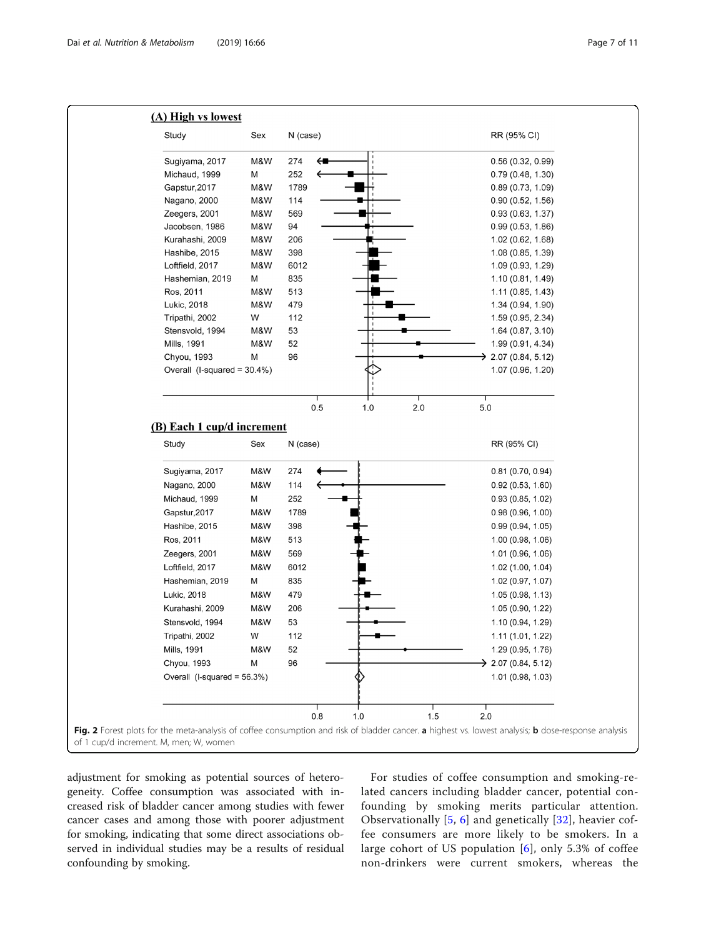<span id="page-6-0"></span>

adjustment for smoking as potential sources of heterogeneity. Coffee consumption was associated with increased risk of bladder cancer among studies with fewer cancer cases and among those with poorer adjustment for smoking, indicating that some direct associations observed in individual studies may be a results of residual confounding by smoking.

For studies of coffee consumption and smoking-related cancers including bladder cancer, potential confounding by smoking merits particular attention. Observationally [[5,](#page-10-0) [6](#page-10-0)] and genetically [[32\]](#page-10-0), heavier coffee consumers are more likely to be smokers. In a large cohort of US population  $[6]$  $[6]$  $[6]$ , only 5.3% of coffee non-drinkers were current smokers, whereas the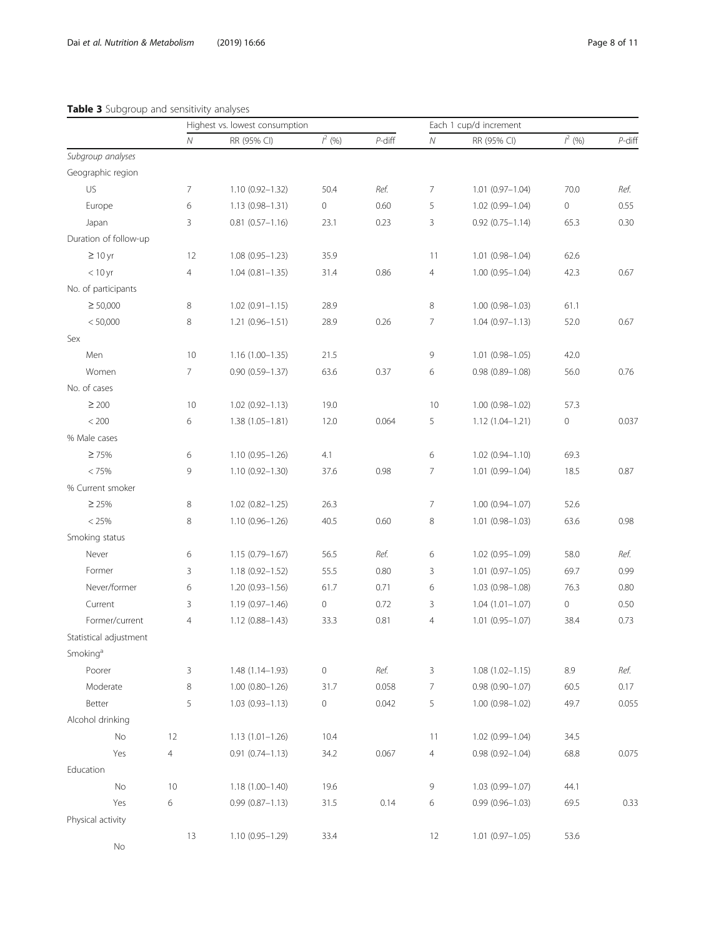# <span id="page-7-0"></span>Table 3 Subgroup and sensitivity analyses

Physical activity

No

|                        |    | Highest vs. lowest consumption |             |           | Each 1 cup/d increment |                     |                     |           |
|------------------------|----|--------------------------------|-------------|-----------|------------------------|---------------------|---------------------|-----------|
|                        | Ν  | RR (95% CI)                    | $l^2$ (%)   | $P$ -diff | ${\cal N}$             | RR (95% CI)         | $l^2$ (%)           | $P$ -diff |
| Subgroup analyses      |    |                                |             |           |                        |                     |                     |           |
| Geographic region      |    |                                |             |           |                        |                     |                     |           |
| US                     | 7  | 1.10 (0.92-1.32)               | 50.4        | Ref.      | 7                      | $1.01(0.97 - 1.04)$ | 70.0                | Ref.      |
| Europe                 | 6  | $1.13(0.98 - 1.31)$            | $\mathbf 0$ | 0.60      | 5                      | $1.02(0.99 - 1.04)$ | $\mathsf{O}\xspace$ | 0.55      |
| Japan                  | 3  | $0.81(0.57 - 1.16)$            | 23.1        | 0.23      | 3                      | $0.92(0.75 - 1.14)$ | 65.3                | 0.30      |
| Duration of follow-up  |    |                                |             |           |                        |                     |                     |           |
| $\geq 10$ yr           | 12 | $1.08(0.95 - 1.23)$            | 35.9        |           | 11                     | $1.01(0.98 - 1.04)$ | 62.6                |           |
| $< 10$ yr              | 4  | $1.04(0.81 - 1.35)$            | 31.4        | 0.86      | 4                      | $1.00(0.95 - 1.04)$ | 42.3                | 0.67      |
| No. of participants    |    |                                |             |           |                        |                     |                     |           |
| $\geq 50,000$          | 8  | $1.02(0.91 - 1.15)$            | 28.9        |           | 8                      | $1.00(0.98 - 1.03)$ | 61.1                |           |
| < 50,000               | 8  | $1.21(0.96 - 1.51)$            | 28.9        | 0.26      | 7                      | $1.04(0.97 - 1.13)$ | 52.0                | 0.67      |
| Sex                    |    |                                |             |           |                        |                     |                     |           |
| Men                    | 10 | $1.16(1.00-1.35)$              | 21.5        |           | 9                      | $1.01(0.98 - 1.05)$ | 42.0                |           |
| Women                  | 7  | $0.90(0.59 - 1.37)$            | 63.6        | 0.37      | 6                      | $0.98(0.89 - 1.08)$ | 56.0                | 0.76      |
| No. of cases           |    |                                |             |           |                        |                     |                     |           |
| $\geq 200$             | 10 | $1.02(0.92 - 1.13)$            | 19.0        |           | 10                     | $1.00(0.98 - 1.02)$ | 57.3                |           |
| < 200                  | 6  | 1.38 (1.05-1.81)               | 12.0        | 0.064     | 5                      | $1.12(1.04 - 1.21)$ | 0                   | 0.037     |
| % Male cases           |    |                                |             |           |                        |                     |                     |           |
| $\geq 75%$             | 6  | 1.10 (0.95-1.26)               | 4.1         |           | 6                      | $1.02(0.94 - 1.10)$ | 69.3                |           |
| < 75%                  | 9  | $1.10(0.92 - 1.30)$            | 37.6        | 0.98      | 7                      | 1.01 (0.99-1.04)    | 18.5                | 0.87      |
| % Current smoker       |    |                                |             |           |                        |                     |                     |           |
| $\geq 25\%$            | 8  | 1.02 (0.82-1.25)               | 26.3        |           | 7                      | $1.00(0.94 - 1.07)$ | 52.6                |           |
| < 25%                  | 8  | 1.10 (0.96-1.26)               | 40.5        | 0.60      | 8                      | 1.01 (0.98-1.03)    | 63.6                | 0.98      |
| Smoking status         |    |                                |             |           |                        |                     |                     |           |
| Never                  | 6  | $1.15(0.79 - 1.67)$            | 56.5        | Ref.      | 6                      | $1.02(0.95 - 1.09)$ | 58.0                | Ref.      |
| Former                 | 3  | 1.18 (0.92-1.52)               | 55.5        | 0.80      | 3                      | $1.01(0.97 - 1.05)$ | 69.7                | 0.99      |
| Never/former           | 6  | 1.20 (0.93-1.56)               | 61.7        | 0.71      | 6                      | $1.03(0.98 - 1.08)$ | 76.3                | 0.80      |
| Current                | 3  | $1.19(0.97 - 1.46)$            | $\mathbf 0$ | 0.72      | 3                      | $1.04(1.01 - 1.07)$ | $\mathsf{O}\xspace$ | 0.50      |
| Former/current         | 4  | 1.12 (0.88-1.43)               | 33.3        | 0.81      | 4                      | 1.01 (0.95-1.07)    | 38.4                | 0.73      |
| Statistical adjustment |    |                                |             |           |                        |                     |                     |           |
| Smoking <sup>a</sup>   |    |                                |             |           |                        |                     |                     |           |
| Poorer                 | 3  | 1.48 (1.14-1.93)               | $\mathbf 0$ | Ref.      | 3                      | $1.08(1.02 - 1.15)$ | 8.9                 | Ref.      |
| Moderate               | 8  | $1.00(0.80 - 1.26)$            | 31.7        | 0.058     | 7                      | $0.98(0.90 - 1.07)$ | 60.5                | 0.17      |
| Better                 | 5  | $1.03(0.93 - 1.13)$            | 0           | 0.042     | 5                      | $1.00(0.98 - 1.02)$ | 49.7                | 0.055     |
| Alcohol drinking       |    |                                |             |           |                        |                     |                     |           |
| No                     | 12 | $1.13(1.01 - 1.26)$            | 10.4        |           | 11                     | 1.02 (0.99-1.04)    | 34.5                |           |
| Yes                    | 4  | $0.91(0.74 - 1.13)$            | 34.2        | 0.067     | $\overline{4}$         | $0.98(0.92 - 1.04)$ | 68.8                | 0.075     |
| Education              |    |                                |             |           |                        |                     |                     |           |

No 10 1.18 (1.00–1.40) 19.6 9 1.03 (0.99–1.07) 44.1

Yes 6 0.99 (0.87–1.13) 31.5 0.14 6 0.99 (0.96–1.03) 69.5 0.33

13 1.10 (0.95–1.29) 33.4 12 1.01 (0.97–1.05) 53.6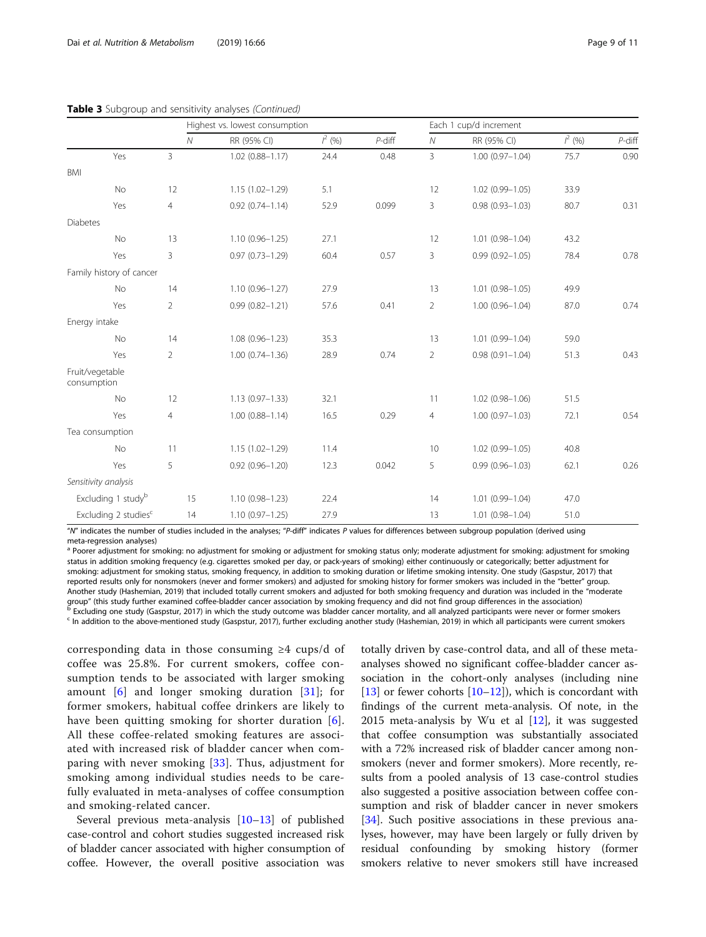|                                  |                | Highest vs. lowest consumption |                  |           |                | Each 1 cup/d increment |           |           |
|----------------------------------|----------------|--------------------------------|------------------|-----------|----------------|------------------------|-----------|-----------|
|                                  | $\mathcal N$   | RR (95% CI)                    | $\sqrt{1^2}$ (%) | $P$ -diff | $\mathcal N$   | RR (95% CI)            | $I^2(96)$ | $P$ -diff |
| Yes                              | $\overline{3}$ | $1.02(0.88 - 1.17)$            | 24.4             | 0.48      | $\overline{3}$ | $1.00(0.97 - 1.04)$    | 75.7      | 0.90      |
| BMI                              |                |                                |                  |           |                |                        |           |           |
| No                               | 12             | $1.15(1.02 - 1.29)$            | 5.1              |           | 12             | $1.02(0.99 - 1.05)$    | 33.9      |           |
| Yes                              | $\overline{4}$ | $0.92(0.74 - 1.14)$            | 52.9             | 0.099     | 3              | $0.98(0.93 - 1.03)$    | 80.7      | 0.31      |
| <b>Diabetes</b>                  |                |                                |                  |           |                |                        |           |           |
| No                               | 13             | $1.10(0.96 - 1.25)$            | 27.1             |           | 12             | $1.01(0.98 - 1.04)$    | 43.2      |           |
| Yes                              | 3              | $0.97(0.73 - 1.29)$            | 60.4             | 0.57      | 3              | $0.99(0.92 - 1.05)$    | 78.4      | 0.78      |
| Family history of cancer         |                |                                |                  |           |                |                        |           |           |
| No                               | 14             | $1.10(0.96 - 1.27)$            | 27.9             |           | 13             | $1.01(0.98 - 1.05)$    | 49.9      |           |
| Yes                              | $\overline{2}$ | $0.99(0.82 - 1.21)$            | 57.6             | 0.41      | $\overline{2}$ | $1.00(0.96 - 1.04)$    | 87.0      | 0.74      |
| Energy intake                    |                |                                |                  |           |                |                        |           |           |
| No                               | 14             | $1.08(0.96 - 1.23)$            | 35.3             |           | 13             | $1.01(0.99 - 1.04)$    | 59.0      |           |
| Yes                              | $\overline{2}$ | $1.00(0.74 - 1.36)$            | 28.9             | 0.74      | $\overline{2}$ | $0.98(0.91 - 1.04)$    | 51.3      | 0.43      |
| Fruit/vegetable<br>consumption   |                |                                |                  |           |                |                        |           |           |
| No                               | 12             | $1.13(0.97 - 1.33)$            | 32.1             |           | 11             | $1.02(0.98 - 1.06)$    | 51.5      |           |
| Yes                              | 4              | $1.00(0.88 - 1.14)$            | 16.5             | 0.29      | 4              | $1.00(0.97 - 1.03)$    | 72.1      | 0.54      |
| Tea consumption                  |                |                                |                  |           |                |                        |           |           |
| No                               | 11             | $1.15(1.02 - 1.29)$            | 11.4             |           | 10             | $1.02(0.99 - 1.05)$    | 40.8      |           |
| Yes                              | 5              | $0.92(0.96 - 1.20)$            | 12.3             | 0.042     | 5              | $0.99(0.96 - 1.03)$    | 62.1      | 0.26      |
| Sensitivity analysis             |                |                                |                  |           |                |                        |           |           |
| Excluding 1 study <sup>b</sup>   | 15             | $1.10(0.98 - 1.23)$            | 22.4             |           | 14             | $1.01(0.99 - 1.04)$    | 47.0      |           |
| Excluding 2 studies <sup>c</sup> | 14             | $1.10(0.97 - 1.25)$            | 27.9             |           | 13             | $1.01(0.98 - 1.04)$    | 51.0      |           |

Table 3 Subgroup and sensitivity analyses (Continued)

"N" indicates the number of studies included in the analyses; "P-diff" indicates P values for differences between subgroup population (derived using meta-regression analyses)

<sup>a</sup> Poorer adjustment for smoking: no adjustment for smoking or adjustment for smoking status only; moderate adjustment for smoking: adjustment for smoking status in addition smoking frequency (e.g. cigarettes smoked per day, or pack-years of smoking) either continuously or categorically; better adjustment for smoking: adjustment for smoking status, smoking frequency, in addition to smoking duration or lifetime smoking intensity. One study (Gaspstur, 2017) that reported results only for nonsmokers (never and former smokers) and adjusted for smoking history for former smokers was included in the "better" group. Another study (Hashemian, 2019) that included totally current smokers and adjusted for both smoking frequency and duration was included in the "moderate group" (this study further examined coffee-bladder cancer association by smoking frequency and did not find group differences in the association)<br>In Excluding one study (Gaspstur, 2017) in which the study outcome was bladd <sup>c</sup> In addition to the above-mentioned study (Gaspstur, 2017), further excluding another study (Hashemian, 2019) in which all participants were current smokers

corresponding data in those consuming ≥4 cups/d of coffee was 25.8%. For current smokers, coffee consumption tends to be associated with larger smoking amount [[6](#page-10-0)] and longer smoking duration [\[31\]](#page-10-0); for former smokers, habitual coffee drinkers are likely to have been quitting smoking for shorter duration  $[6]$  $[6]$  $[6]$ . All these coffee-related smoking features are associated with increased risk of bladder cancer when comparing with never smoking [[33](#page-10-0)]. Thus, adjustment for smoking among individual studies needs to be carefully evaluated in meta-analyses of coffee consumption and smoking-related cancer.

Several previous meta-analysis [\[10](#page-10-0)–[13\]](#page-10-0) of published case-control and cohort studies suggested increased risk of bladder cancer associated with higher consumption of coffee. However, the overall positive association was totally driven by case-control data, and all of these metaanalyses showed no significant coffee-bladder cancer association in the cohort-only analyses (including nine [[13\]](#page-10-0) or fewer cohorts  $[10-12]$  $[10-12]$  $[10-12]$  $[10-12]$  $[10-12]$ , which is concordant with findings of the current meta-analysis. Of note, in the 2015 meta-analysis by Wu et al  $[12]$  $[12]$ , it was suggested that coffee consumption was substantially associated with a 72% increased risk of bladder cancer among nonsmokers (never and former smokers). More recently, results from a pooled analysis of 13 case-control studies also suggested a positive association between coffee consumption and risk of bladder cancer in never smokers [[34\]](#page-10-0). Such positive associations in these previous analyses, however, may have been largely or fully driven by residual confounding by smoking history (former smokers relative to never smokers still have increased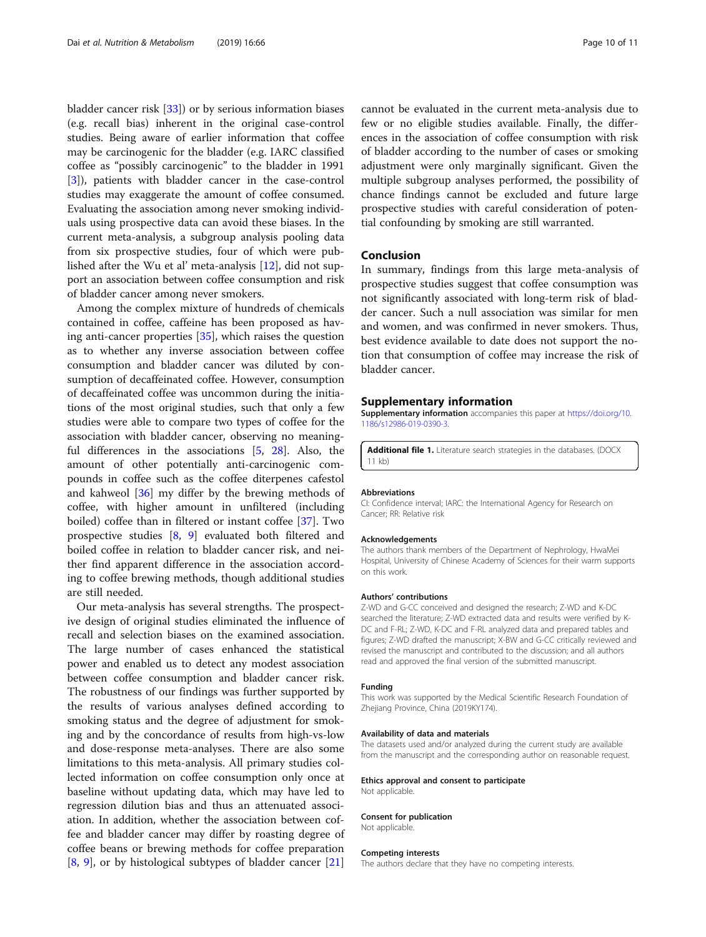<span id="page-9-0"></span>bladder cancer risk [[33](#page-10-0)]) or by serious information biases (e.g. recall bias) inherent in the original case-control studies. Being aware of earlier information that coffee may be carcinogenic for the bladder (e.g. IARC classified coffee as "possibly carcinogenic" to the bladder in 1991 [[3\]](#page-10-0)), patients with bladder cancer in the case-control studies may exaggerate the amount of coffee consumed. Evaluating the association among never smoking individuals using prospective data can avoid these biases. In the current meta-analysis, a subgroup analysis pooling data from six prospective studies, four of which were published after the Wu et al' meta-analysis [\[12\]](#page-10-0), did not support an association between coffee consumption and risk of bladder cancer among never smokers.

Among the complex mixture of hundreds of chemicals contained in coffee, caffeine has been proposed as having anti-cancer properties [[35](#page-10-0)], which raises the question as to whether any inverse association between coffee consumption and bladder cancer was diluted by consumption of decaffeinated coffee. However, consumption of decaffeinated coffee was uncommon during the initiations of the most original studies, such that only a few studies were able to compare two types of coffee for the association with bladder cancer, observing no meaningful differences in the associations [[5,](#page-10-0) [28](#page-10-0)]. Also, the amount of other potentially anti-carcinogenic compounds in coffee such as the coffee diterpenes cafestol and kahweol [[36](#page-10-0)] my differ by the brewing methods of coffee, with higher amount in unfiltered (including boiled) coffee than in filtered or instant coffee [[37\]](#page-10-0). Two prospective studies [[8,](#page-10-0) [9\]](#page-10-0) evaluated both filtered and boiled coffee in relation to bladder cancer risk, and neither find apparent difference in the association according to coffee brewing methods, though additional studies are still needed.

Our meta-analysis has several strengths. The prospective design of original studies eliminated the influence of recall and selection biases on the examined association. The large number of cases enhanced the statistical power and enabled us to detect any modest association between coffee consumption and bladder cancer risk. The robustness of our findings was further supported by the results of various analyses defined according to smoking status and the degree of adjustment for smoking and by the concordance of results from high-vs-low and dose-response meta-analyses. There are also some limitations to this meta-analysis. All primary studies collected information on coffee consumption only once at baseline without updating data, which may have led to regression dilution bias and thus an attenuated association. In addition, whether the association between coffee and bladder cancer may differ by roasting degree of coffee beans or brewing methods for coffee preparation [[8,](#page-10-0) [9](#page-10-0)], or by histological subtypes of bladder cancer [[21](#page-10-0)]

cannot be evaluated in the current meta-analysis due to few or no eligible studies available. Finally, the differences in the association of coffee consumption with risk of bladder according to the number of cases or smoking adjustment were only marginally significant. Given the multiple subgroup analyses performed, the possibility of chance findings cannot be excluded and future large prospective studies with careful consideration of potential confounding by smoking are still warranted.

#### Conclusion

In summary, findings from this large meta-analysis of prospective studies suggest that coffee consumption was not significantly associated with long-term risk of bladder cancer. Such a null association was similar for men and women, and was confirmed in never smokers. Thus, best evidence available to date does not support the notion that consumption of coffee may increase the risk of bladder cancer.

#### Supplementary information

Supplementary information accompanies this paper at [https://doi.org/10.](https://doi.org/10.1186/s12986-019-0390-3) [1186/s12986-019-0390-3.](https://doi.org/10.1186/s12986-019-0390-3)

Additional file 1. Literature search strategies in the databases. (DOCX 11 kb)

#### Abbreviations

CI: Confidence interval; IARC: the International Agency for Research on Cancer; RR: Relative risk

#### Acknowledgements

The authors thank members of the Department of Nephrology, HwaMei Hospital, University of Chinese Academy of Sciences for their warm supports on this work.

#### Authors' contributions

Z-WD and G-CC conceived and designed the research; Z-WD and K-DC searched the literature; Z-WD extracted data and results were verified by K-DC and F-RL; Z-WD, K-DC and F-RL analyzed data and prepared tables and figures; Z-WD drafted the manuscript; X-BW and G-CC critically reviewed and revised the manuscript and contributed to the discussion; and all authors read and approved the final version of the submitted manuscript.

#### Funding

This work was supported by the Medical Scientific Research Foundation of Zhejiang Province, China (2019KY174).

#### Availability of data and materials

The datasets used and/or analyzed during the current study are available from the manuscript and the corresponding author on reasonable request.

#### Ethics approval and consent to participate

Not applicable.

#### Consent for publication

Not applicable.

#### Competing interests

The authors declare that they have no competing interests.